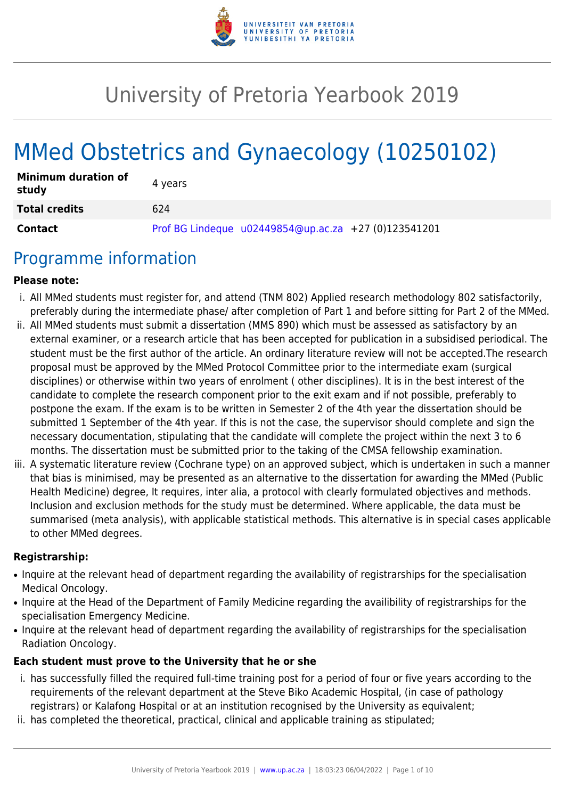

# University of Pretoria Yearbook 2019

# MMed Obstetrics and Gynaecology (10250102)

| <b>Minimum duration of</b><br>study | 4 vears                                                |
|-------------------------------------|--------------------------------------------------------|
| <b>Total credits</b>                | 624                                                    |
| Contact                             | Prof BG Lindeque $u02449854@up.ac.za$ +27 (0)123541201 |

## Programme information

#### **Please note:**

- i. All MMed students must register for, and attend (TNM 802) Applied research methodology 802 satisfactorily, preferably during the intermediate phase/ after completion of Part 1 and before sitting for Part 2 of the MMed.
- ii. All MMed students must submit a dissertation (MMS 890) which must be assessed as satisfactory by an external examiner, or a research article that has been accepted for publication in a subsidised periodical. The student must be the first author of the article. An ordinary literature review will not be accepted.The research proposal must be approved by the MMed Protocol Committee prior to the intermediate exam (surgical disciplines) or otherwise within two years of enrolment ( other disciplines). It is in the best interest of the candidate to complete the research component prior to the exit exam and if not possible, preferably to postpone the exam. If the exam is to be written in Semester 2 of the 4th year the dissertation should be submitted 1 September of the 4th year. If this is not the case, the supervisor should complete and sign the necessary documentation, stipulating that the candidate will complete the project within the next 3 to 6 months. The dissertation must be submitted prior to the taking of the CMSA fellowship examination.
- iii. A systematic literature review (Cochrane type) on an approved subject, which is undertaken in such a manner that bias is minimised, may be presented as an alternative to the dissertation for awarding the MMed (Public Health Medicine) degree, It requires, inter alia, a protocol with clearly formulated objectives and methods. Inclusion and exclusion methods for the study must be determined. Where applicable, the data must be summarised (meta analysis), with applicable statistical methods. This alternative is in special cases applicable to other MMed degrees.

#### **Registrarship:**

- Inquire at the relevant head of department regarding the availability of registrarships for the specialisation Medical Oncology.
- Inquire at the Head of the Department of Family Medicine regarding the availibility of registrarships for the specialisation Emergency Medicine.
- Inquire at the relevant head of department regarding the availability of registrarships for the specialisation Radiation Oncology.

#### **Each student must prove to the University that he or she**

- i. has successfully filled the required full-time training post for a period of four or five years according to the requirements of the relevant department at the Steve Biko Academic Hospital, (in case of pathology registrars) or Kalafong Hospital or at an institution recognised by the University as equivalent;
- ii. has completed the theoretical, practical, clinical and applicable training as stipulated;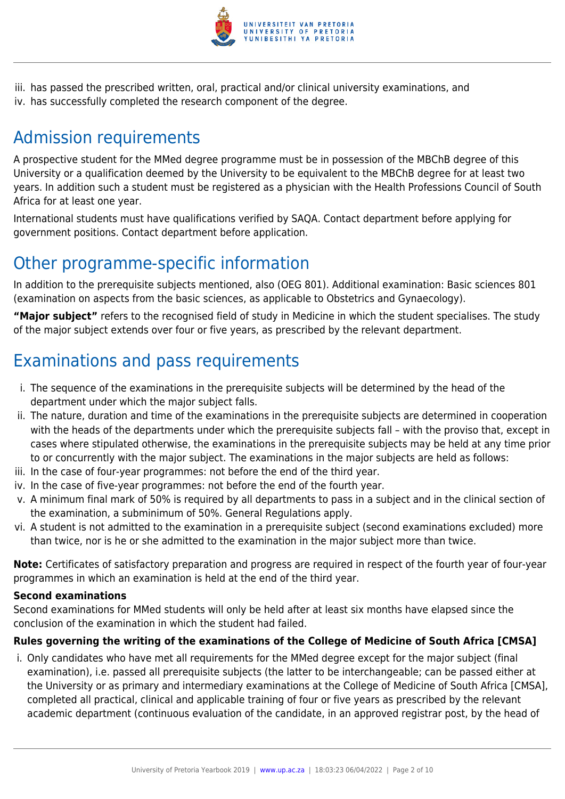

iii. has passed the prescribed written, oral, practical and/or clinical university examinations, and iv. has successfully completed the research component of the degree.

## Admission requirements

A prospective student for the MMed degree programme must be in possession of the MBChB degree of this University or a qualification deemed by the University to be equivalent to the MBChB degree for at least two years. In addition such a student must be registered as a physician with the Health Professions Council of South Africa for at least one year.

International students must have qualifications verified by SAQA. Contact department before applying for government positions. Contact department before application.

## Other programme-specific information

In addition to the prerequisite subjects mentioned, also (OEG 801). Additional examination: Basic sciences 801 (examination on aspects from the basic sciences, as applicable to Obstetrics and Gynaecology).

**"Major subject"** refers to the recognised field of study in Medicine in which the student specialises. The study of the major subject extends over four or five years, as prescribed by the relevant department.

## Examinations and pass requirements

- i. The sequence of the examinations in the prerequisite subjects will be determined by the head of the department under which the major subject falls.
- ii. The nature, duration and time of the examinations in the prerequisite subjects are determined in cooperation with the heads of the departments under which the prerequisite subjects fall – with the proviso that, except in cases where stipulated otherwise, the examinations in the prerequisite subjects may be held at any time prior to or concurrently with the major subject. The examinations in the major subjects are held as follows:
- iii. In the case of four-year programmes: not before the end of the third year.
- iv. In the case of five-year programmes: not before the end of the fourth year.
- v. A minimum final mark of 50% is required by all departments to pass in a subject and in the clinical section of the examination, a subminimum of 50%. General Regulations apply.
- vi. A student is not admitted to the examination in a prerequisite subject (second examinations excluded) more than twice, nor is he or she admitted to the examination in the major subject more than twice.

**Note:** Certificates of satisfactory preparation and progress are required in respect of the fourth year of four-year programmes in which an examination is held at the end of the third year.

### **Second examinations**

Second examinations for MMed students will only be held after at least six months have elapsed since the conclusion of the examination in which the student had failed.

### **Rules governing the writing of the examinations of the College of Medicine of South Africa [CMSA]**

i. Only candidates who have met all requirements for the MMed degree except for the major subject (final examination), i.e. passed all prerequisite subjects (the latter to be interchangeable; can be passed either at the University or as primary and intermediary examinations at the College of Medicine of South Africa [CMSA], completed all practical, clinical and applicable training of four or five years as prescribed by the relevant academic department (continuous evaluation of the candidate, in an approved registrar post, by the head of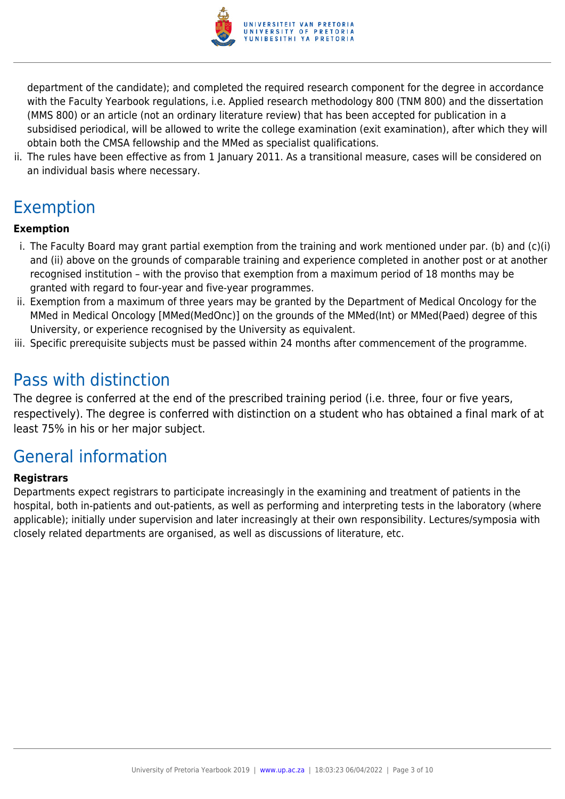

department of the candidate); and completed the required research component for the degree in accordance with the Faculty Yearbook regulations, i.e. Applied research methodology 800 (TNM 800) and the dissertation (MMS 800) or an article (not an ordinary literature review) that has been accepted for publication in a subsidised periodical, will be allowed to write the college examination (exit examination), after which they will obtain both the CMSA fellowship and the MMed as specialist qualifications.

ii. The rules have been effective as from 1 January 2011. As a transitional measure, cases will be considered on an individual basis where necessary.

## Exemption

## **Exemption**

- i. The Faculty Board may grant partial exemption from the training and work mentioned under par. (b) and (c)(i) and (ii) above on the grounds of comparable training and experience completed in another post or at another recognised institution – with the proviso that exemption from a maximum period of 18 months may be granted with regard to four-year and five-year programmes.
- ii. Exemption from a maximum of three years may be granted by the Department of Medical Oncology for the MMed in Medical Oncology [MMed(MedOnc)] on the grounds of the MMed(Int) or MMed(Paed) degree of this University, or experience recognised by the University as equivalent.
- iii. Specific prerequisite subjects must be passed within 24 months after commencement of the programme.

## Pass with distinction

The degree is conferred at the end of the prescribed training period (i.e. three, four or five years, respectively). The degree is conferred with distinction on a student who has obtained a final mark of at least 75% in his or her major subject.

## General information

### **Registrars**

Departments expect registrars to participate increasingly in the examining and treatment of patients in the hospital, both in-patients and out-patients, as well as performing and interpreting tests in the laboratory (where applicable); initially under supervision and later increasingly at their own responsibility. Lectures/symposia with closely related departments are organised, as well as discussions of literature, etc.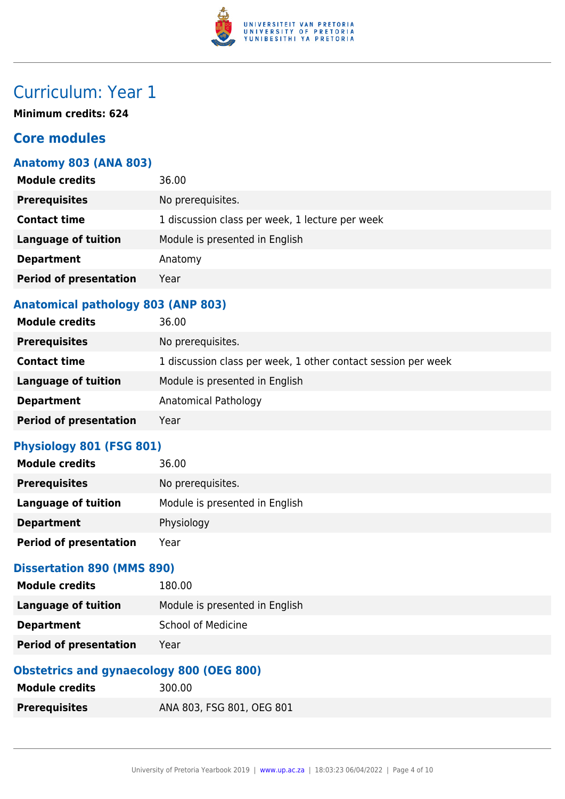

## Curriculum: Year 1

**Minimum credits: 624**

## **Core modules**

## **Anatomy 803 (ANA 803)**

| <b>Module credits</b>         | 36.00                                           |
|-------------------------------|-------------------------------------------------|
| <b>Prerequisites</b>          | No prerequisites.                               |
| <b>Contact time</b>           | 1 discussion class per week, 1 lecture per week |
| <b>Language of tuition</b>    | Module is presented in English                  |
| <b>Department</b>             | Anatomy                                         |
| <b>Period of presentation</b> | Year                                            |
|                               |                                                 |

## **Anatomical pathology 803 (ANP 803)**

| <b>Module credits</b>         | 36.00                                                         |
|-------------------------------|---------------------------------------------------------------|
| <b>Prerequisites</b>          | No prerequisites.                                             |
| <b>Contact time</b>           | 1 discussion class per week, 1 other contact session per week |
| <b>Language of tuition</b>    | Module is presented in English                                |
| <b>Department</b>             | Anatomical Pathology                                          |
| <b>Period of presentation</b> | Year                                                          |

#### **Physiology 801 (FSG 801)**

| <b>Module credits</b>         | 36.00                          |
|-------------------------------|--------------------------------|
| <b>Prerequisites</b>          | No prerequisites.              |
| Language of tuition           | Module is presented in English |
| <b>Department</b>             | Physiology                     |
| <b>Period of presentation</b> | Year                           |

## **Dissertation 890 (MMS 890)**

| <b>Period of presentation</b> | Year                           |
|-------------------------------|--------------------------------|
| <b>Department</b>             | <b>School of Medicine</b>      |
| Language of tuition           | Module is presented in English |
| <b>Module credits</b>         | 180.00                         |

## **Obstetrics and gynaecology 800 (OEG 800)**

| <b>Module credits</b> | 300.00                    |
|-----------------------|---------------------------|
| <b>Prerequisites</b>  | ANA 803, FSG 801, OEG 801 |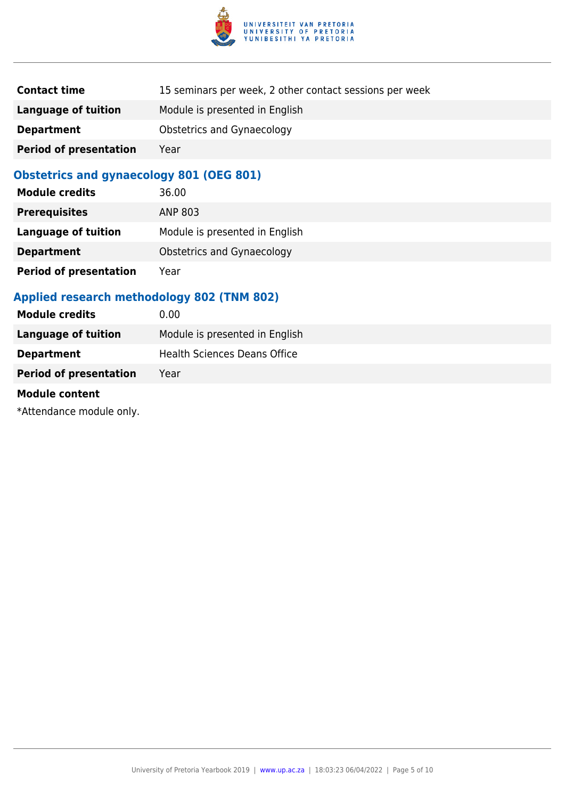

| <b>Contact time</b>           | 15 seminars per week, 2 other contact sessions per week |
|-------------------------------|---------------------------------------------------------|
| Language of tuition           | Module is presented in English                          |
| <b>Department</b>             | Obstetrics and Gynaecology                              |
| <b>Period of presentation</b> | Year                                                    |

## **Obstetrics and gynaecology 801 (OEG 801)**

| <b>Module credits</b>         | 36.00                             |
|-------------------------------|-----------------------------------|
| <b>Prerequisites</b>          | ANP 803                           |
| <b>Language of tuition</b>    | Module is presented in English    |
| <b>Department</b>             | <b>Obstetrics and Gynaecology</b> |
| <b>Period of presentation</b> | Year                              |

### **Applied research methodology 802 (TNM 802)**

| <b>Module credits</b>         | 0.00                                |
|-------------------------------|-------------------------------------|
| Language of tuition           | Module is presented in English      |
| <b>Department</b>             | <b>Health Sciences Deans Office</b> |
| <b>Period of presentation</b> | Year                                |
|                               |                                     |

## **Module content**

\*Attendance module only.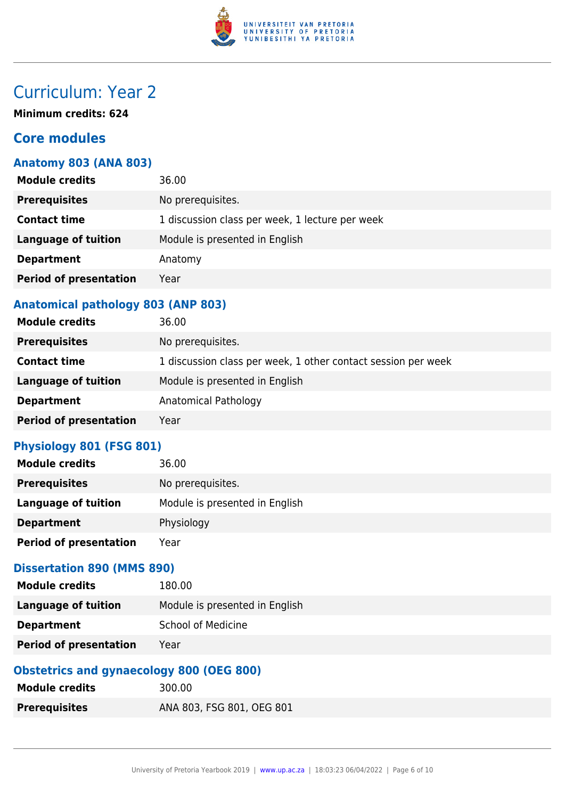

## Curriculum: Year 2

**Minimum credits: 624**

## **Core modules**

## **Anatomy 803 (ANA 803)**

| <b>Module credits</b>         | 36.00                                           |
|-------------------------------|-------------------------------------------------|
| <b>Prerequisites</b>          | No prerequisites.                               |
| <b>Contact time</b>           | 1 discussion class per week, 1 lecture per week |
| <b>Language of tuition</b>    | Module is presented in English                  |
| <b>Department</b>             | Anatomy                                         |
| <b>Period of presentation</b> | Year                                            |
|                               |                                                 |

## **Anatomical pathology 803 (ANP 803)**

| <b>Module credits</b>         | 36.00                                                         |
|-------------------------------|---------------------------------------------------------------|
| <b>Prerequisites</b>          | No prerequisites.                                             |
| <b>Contact time</b>           | 1 discussion class per week, 1 other contact session per week |
| <b>Language of tuition</b>    | Module is presented in English                                |
| <b>Department</b>             | Anatomical Pathology                                          |
| <b>Period of presentation</b> | Year                                                          |

#### **Physiology 801 (FSG 801)**

| <b>Module credits</b>         | 36.00                          |
|-------------------------------|--------------------------------|
| <b>Prerequisites</b>          | No prerequisites.              |
| Language of tuition           | Module is presented in English |
| <b>Department</b>             | Physiology                     |
| <b>Period of presentation</b> | Year                           |

## **Dissertation 890 (MMS 890)**

| <b>Module credits</b>         | 180.00                         |
|-------------------------------|--------------------------------|
| Language of tuition           | Module is presented in English |
| <b>Department</b>             | <b>School of Medicine</b>      |
| <b>Period of presentation</b> | Year                           |

### **Obstetrics and gynaecology 800 (OEG 800)**

| <b>Module credits</b> | 300.00                    |
|-----------------------|---------------------------|
| <b>Prerequisites</b>  | ANA 803, FSG 801, OEG 801 |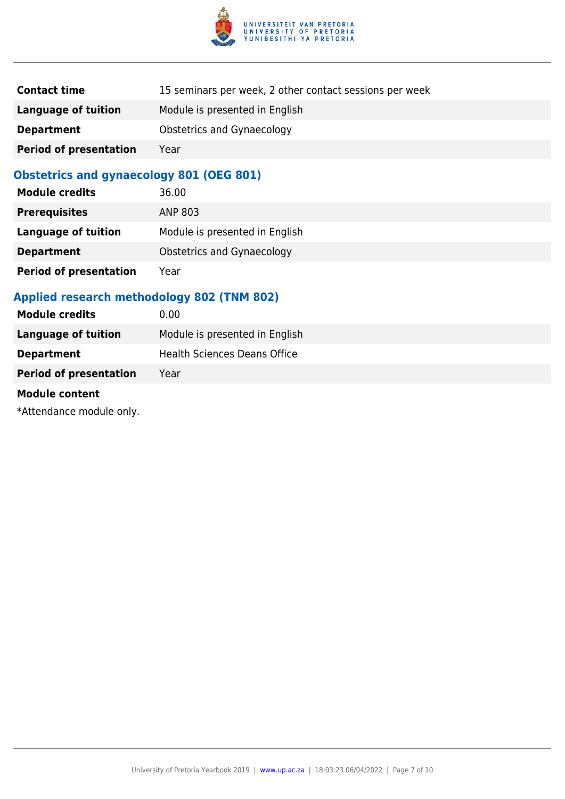

| <b>Contact time</b>           | 15 seminars per week, 2 other contact sessions per week |
|-------------------------------|---------------------------------------------------------|
| Language of tuition           | Module is presented in English                          |
| <b>Department</b>             | Obstetrics and Gynaecology                              |
| <b>Period of presentation</b> | Year                                                    |

## **Obstetrics and gynaecology 801 (OEG 801)**

| <b>Module credits</b>         | 36.00                          |
|-------------------------------|--------------------------------|
| <b>Prerequisites</b>          | ANP 803                        |
| <b>Language of tuition</b>    | Module is presented in English |
| <b>Department</b>             | Obstetrics and Gynaecology     |
| <b>Period of presentation</b> | Year                           |

## **Applied research methodology 802 (TNM 802)**

| <b>Module credits</b>         | 0.00                                |
|-------------------------------|-------------------------------------|
| Language of tuition           | Module is presented in English      |
| <b>Department</b>             | <b>Health Sciences Deans Office</b> |
| <b>Period of presentation</b> | Year                                |
|                               |                                     |

## **Module content**

\*Attendance module only.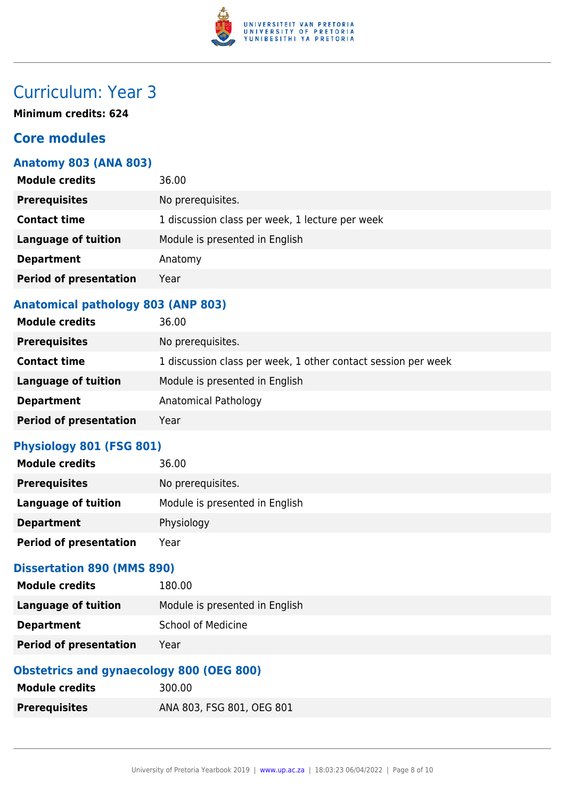

## Curriculum: Year 3

**Minimum credits: 624**

## **Core modules**

## **Anatomy 803 (ANA 803)**

| <b>Module credits</b>         | 36.00                                           |
|-------------------------------|-------------------------------------------------|
| <b>Prerequisites</b>          | No prerequisites.                               |
| <b>Contact time</b>           | 1 discussion class per week, 1 lecture per week |
| <b>Language of tuition</b>    | Module is presented in English                  |
| <b>Department</b>             | Anatomy                                         |
| <b>Period of presentation</b> | Year                                            |
|                               |                                                 |

## **Anatomical pathology 803 (ANP 803)**

| <b>Module credits</b>         | 36.00                                                         |
|-------------------------------|---------------------------------------------------------------|
| <b>Prerequisites</b>          | No prerequisites.                                             |
| <b>Contact time</b>           | 1 discussion class per week, 1 other contact session per week |
| <b>Language of tuition</b>    | Module is presented in English                                |
| <b>Department</b>             | Anatomical Pathology                                          |
| <b>Period of presentation</b> | Year                                                          |

#### **Physiology 801 (FSG 801)**

| <b>Module credits</b>         | 36.00                          |
|-------------------------------|--------------------------------|
| <b>Prerequisites</b>          | No prerequisites.              |
| Language of tuition           | Module is presented in English |
| <b>Department</b>             | Physiology                     |
| <b>Period of presentation</b> | Year                           |

## **Dissertation 890 (MMS 890)**

| <b>Module credits</b>         | 180.00                         |
|-------------------------------|--------------------------------|
| Language of tuition           | Module is presented in English |
| <b>Department</b>             | <b>School of Medicine</b>      |
| <b>Period of presentation</b> | Year                           |

### **Obstetrics and gynaecology 800 (OEG 800)**

| <b>Module credits</b> | 300.00                    |
|-----------------------|---------------------------|
| <b>Prerequisites</b>  | ANA 803, FSG 801, OEG 801 |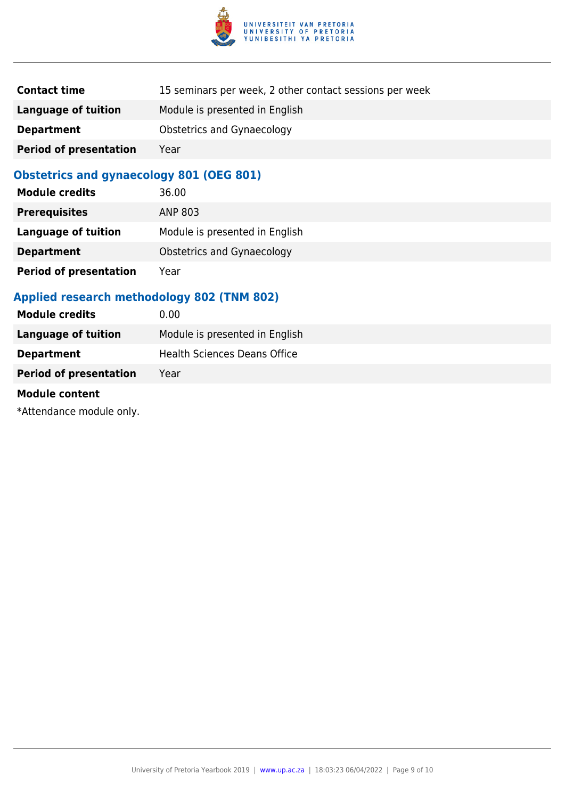

| <b>Contact time</b>           | 15 seminars per week, 2 other contact sessions per week |
|-------------------------------|---------------------------------------------------------|
| Language of tuition           | Module is presented in English                          |
| <b>Department</b>             | Obstetrics and Gynaecology                              |
| <b>Period of presentation</b> | Year                                                    |

## **Obstetrics and gynaecology 801 (OEG 801)**

| <b>Module credits</b>         | 36.00                             |
|-------------------------------|-----------------------------------|
| <b>Prerequisites</b>          | ANP 803                           |
| <b>Language of tuition</b>    | Module is presented in English    |
| <b>Department</b>             | <b>Obstetrics and Gynaecology</b> |
| <b>Period of presentation</b> | Year                              |

## **Applied research methodology 802 (TNM 802)**

| <b>Module credits</b>         | 0.00                                |
|-------------------------------|-------------------------------------|
| Language of tuition           | Module is presented in English      |
| <b>Department</b>             | <b>Health Sciences Deans Office</b> |
| <b>Period of presentation</b> | Year                                |
|                               |                                     |

## **Module content**

\*Attendance module only.